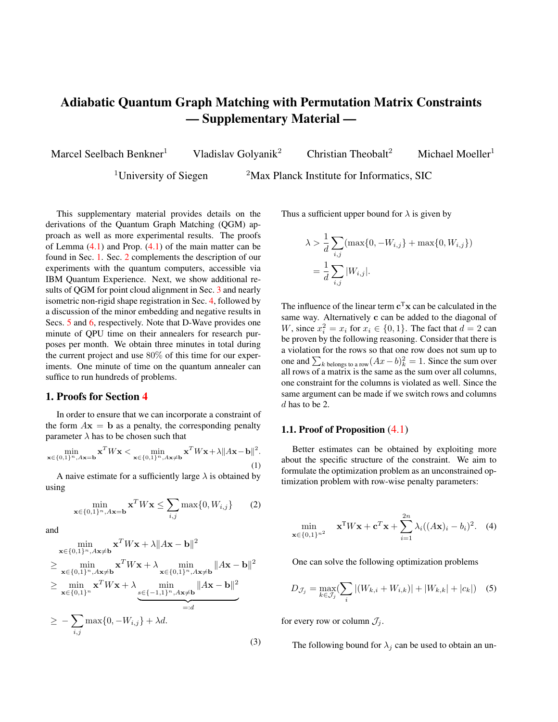# Adiabatic Quantum Graph Matching with Permutation Matrix Constraints — Supplementary Material —

Marcel Seelbach Benkner<sup>1</sup> Vladislav Golyanik<sup>2</sup> Christian Theobalt<sup>2</sup> Michael Moeller<sup>1</sup>

<sup>1</sup>University of Siegen  $2$ Max Planck Institute for Informatics, SIC

This supplementary material provides details on the derivations of the Quantum Graph Matching (QGM) approach as well as more experimental results. The proofs of Lemma  $(4.1)$  and Prop.  $(4.1)$  of the main matter can be found in Sec. 1. Sec. 2 complements the description of our experiments with the quantum computers, accessible via IBM Quantum Experience. Next, we show additional results of QGM for point cloud alignment in Sec. 3 and nearly isometric non-rigid shape registration in Sec. 4, followed by a discussion of the minor embedding and negative results in Secs. 5 and 6, respectively. Note that D-Wave provides one minute of QPU time on their annealers for research purposes per month. We obtain three minutes in total during the current project and use 80% of this time for our experiments. One minute of time on the quantum annealer can suffice to run hundreds of problems.

# 1. Proofs for Section 4

In order to ensure that we can incorporate a constraint of the form  $A\mathbf{x} = \mathbf{b}$  as a penalty, the corresponding penalty parameter  $\lambda$  has to be chosen such that

$$
\min_{\mathbf{x} \in \{0,1\}^n, A\mathbf{x} = \mathbf{b}} \mathbf{x}^T W \mathbf{x} < \min_{\mathbf{x} \in \{0,1\}^n, A\mathbf{x} \neq \mathbf{b}} \mathbf{x}^T W \mathbf{x} + \lambda \|A\mathbf{x} - \mathbf{b}\|^2. \tag{1}
$$

A naive estimate for a sufficiently large  $\lambda$  is obtained by using

$$
\min_{\mathbf{x}\in\{0,1\}^n, A\mathbf{x}=\mathbf{b}} \mathbf{x}^T W \mathbf{x} \le \sum_{i,j} \max\{0, W_{i,j}\} \qquad (2)
$$

2 in 2

and

$$
\min_{\mathbf{x}\in\{0,1\}^n, A\mathbf{x}\neq\mathbf{b}} \mathbf{x}^T W \mathbf{x} + \lambda \|A\mathbf{x} - \mathbf{b}\|^2
$$
\n
$$
\geq \min_{\mathbf{x}\in\{0,1\}^n, A\mathbf{x}\neq\mathbf{b}} \mathbf{x}^T W \mathbf{x} + \lambda \min_{\mathbf{x}\in\{0,1\}^n, A\mathbf{x}\neq\mathbf{b}} \|A\mathbf{x} - \mathbf{b}\|^2
$$
\n
$$
\geq \min_{\mathbf{x}\in\{0,1\}^n} \mathbf{x}^T W \mathbf{x} + \lambda \min_{\mathbf{s}\in\{-1,1\}^n, A\mathbf{x}\neq\mathbf{b}} \|A\mathbf{x} - \mathbf{b}\|^2
$$
\n
$$
\geq -\sum_{i,j} \max\{0, -W_{i,j}\} + \lambda d.
$$
\n(3)

Thus a sufficient upper bound for  $\lambda$  is given by

$$
\lambda > \frac{1}{d} \sum_{i,j} (\max\{0, -W_{i,j}\} + \max\{0, W_{i,j}\})
$$
  
= 
$$
\frac{1}{d} \sum_{i,j} |W_{i,j}|.
$$

The influence of the linear term  $c^T x$  can be calculated in the same way. Alternatively c can be added to the diagonal of W, since  $x_i^2 = x_i$  for  $x_i \in \{0, 1\}$ . The fact that  $d = 2$  can be proven by the following reasoning. Consider that there is a violation for the rows so that one row does not sum up to one and  $\sum_{k \text{ belongs to a row}} (Ax - b)_k^2 = 1$ . Since the sum over all rows of a matrix is the same as the sum over all columns, one constraint for the columns is violated as well. Since the same argument can be made if we switch rows and columns d has to be 2.

#### 1.1. Proof of Proposition (4.1)

Better estimates can be obtained by exploiting more about the specific structure of the constraint. We aim to formulate the optimization problem as an unconstrained optimization problem with row-wise penalty parameters:

$$
\min_{\mathbf{x}\in\{0,1\}^{n^2}} \quad \mathbf{x}^{\mathrm{T}}W\mathbf{x} + \mathbf{c}^T\mathbf{x} + \sum_{i=1}^{2n} \lambda_i ((A\mathbf{x})_i - b_i)^2. \tag{4}
$$

One can solve the following optimization problems

$$
D_{\mathcal{J}_j} = \max_{k \in \mathcal{J}_j} \left( \sum_i |(W_{k,i} + W_{i,k})| + |W_{k,k}| + |c_k| \right) \tag{5}
$$

for every row or column  $\mathcal{J}_i$ .

The following bound for  $\lambda_j$  can be used to obtain an un-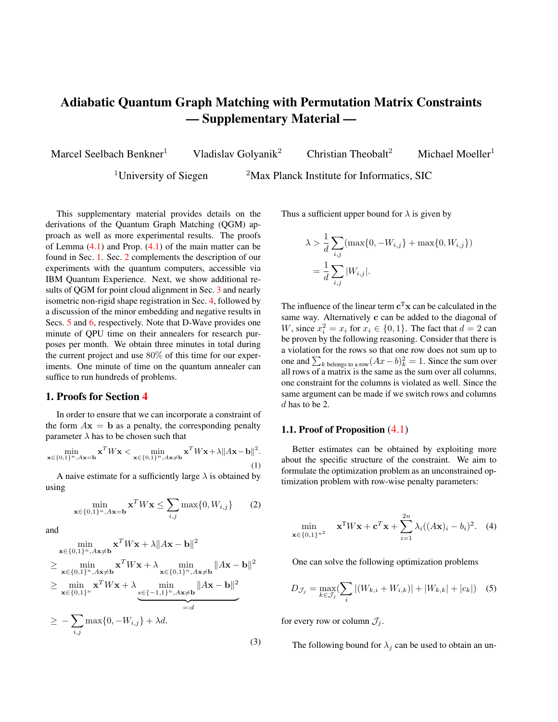constrained optimization problem as in (4):

$$
\lambda_j = \max_{k \in \mathcal{J}_j} \left( \sum_i |(W_{k,i} + W_{i,k})| + |W_{k,k}| + |c_k| \right) \tag{6}
$$

$$
+\frac{1}{2}(\max_{k}\sum_{i} |(W_{k,i} + W_{i,k})| + |W_{k,k}| + |c_k|) \quad (7)
$$

$$
=D_{\mathcal{J}_j} + \frac{1}{2}D_{\{1,\dots,n^2\}}\tag{8}
$$

*Proof.* Let x be an arbitrary element in  $\{0, 1\}^{n^2}$ . We want to show that for the above choice of  $\lambda_i$ 

$$
\exists \mathbf{p} \in \text{vec}(\mathbb{P}_n) : \mathbf{p}^{\text{T}} W \mathbf{p} + \mathbf{c}^T \mathbf{p}
$$
 (9)

$$
\leq \mathbf{x}^{\mathrm{T}} W \mathbf{x} + \mathbf{c}^T \mathbf{x} + \sum_{i=1}^{2n} \lambda_i ((A\mathbf{x})_i - b_i)^2 \qquad (10)
$$

For the matrix X, which fulfills  $x = \text{vec}(X)$ , we can construct sets with the property:

$$
(i,j) \in I \Rightarrow X_{i,j} = 1 \quad \land \quad \forall k \in \{1, ..., n\} \setminus \{j\}(i,k) \notin I
$$

$$
\land \quad \forall k \in \{1, ..., n\} \setminus \{j\}(k,j) \notin I,
$$

$$
(11)
$$

We name one of these sets that has the maximal possible number of elements  $I_{\text{max}}$ . The permutation matrix  $P$  with  $p = \text{vec}(P)$  that we want to construct can be any permutation with ones placed at the positions in  $I_{\text{max}}$ . We can get from  $X$  to  $P$  by first erasing all ones that are not in the positions  $I_{\text{max}}$  and then adding  $n - |I_{\text{max}}|$  ones.

Consider the set of matrices  $(X^{(k)})_{0 \le k \le H}$  with:

$$
X^{(0)} = X
$$
  
\n
$$
X^{(H)} = P
$$
  
\n
$$
||X^{(k)} - X^{(k-1)}|| = 1
$$
\n(12)

These matrices can be constructed if we start from P and erase successively all ones that are not in  $I_{\text{max}}$ . After that we can insert ones that have an index in common with an element in  $I_{\text{max}}$ . This set we call  $B$ .

Inserting or erasing a one at the j-th column yields maximally to an energy difference of

$$
D_{\mathcal{C}_j} = \max_{k \in \mathcal{C}_j} \left( \sum_i |(W_{k,i} + W_{i,k})| + |W_{k,k}| + |c_k| \right), \tag{13}
$$

where  $C_j$  describe the indizes that belong to the j-th collumn and analogously  $\mathcal{R}_j$  describe the indizes that belong to the j-th row. We define  $f$  as:

$$
f(Y) = \mathbf{y}^{\mathrm{T}} W \mathbf{y} + \mathbf{c}^T \mathbf{y}
$$
 (14)

with  $y = \text{vec}(Y)$ . To prove (10) we use the principle of a

telescope sum:

$$
f(P) - f(X)
$$
  
\n
$$
= \sum_{k=0}^{H-1} f(X^{(k+1)}) - f(X^{(k)}) \le \sum_{k=0}^{H-1} \left| f(X^{(k+1)}) - f(X^{(k)}) \right|
$$
  
\n
$$
= \sum_{\{k \in \{0, ..., H-1\} \mid \text{pos}(X^{(k+1)} - X^{(k)}) \in B\}} \left| f(X^{(k+1)}) - f(X^{(k)}) \right|
$$
  
\n
$$
+ \sum_{\{k \in \{0, ..., H-1\} \mid \text{pos}(X^{(k+1)} - X^{(k)}) \notin B\}} \left| f(X^{(k+1)}) - f(X^{(k)}) \right|
$$
\n(15)

For the second sum we want to use:

$$
\left| f(X^{(k+1)}) - f(X^{(k)}) \right| \le D_{\{1,\dots,n^2\}} \tag{16}
$$

In the first sum we can make use of the specific column or row and use  $D_{\mathcal{J}_j}$ . This yields the following ansatz for  $\lambda_{\mathcal{R}_j}$ , which is the  $\lambda_k$  that belongs to the j-th row:

$$
\lambda_{\mathcal{R}_j} = \alpha D_{\mathcal{R}_j} + \beta D_{\{1,\dots,n^2\}}.\tag{17}
$$

To obtain the constant  $\beta$  we have to calculate the right side of the inequality:

$$
\beta \ge \max_{\{\mathbf{x} \in \{0,1\}^{n^2} \mid A\mathbf{x} \neq \mathbf{b}\}} \frac{|n - I_{\text{max}}|}{\sum_j |A\mathbf{x}_j - b_j|}.
$$
 (18)

If we have a row, where no element of  $I_{\text{max}}$  is present, there can be other ones placed there that share a column with a position in  $I_{\text{max}}$ . If there is no one in that column, then  $|A\mathbf{x}_j - b_j| \neq 0$  for the corresponding j. If there are ones then  $\sum_j |A\mathbf{x}_j - b_j|$  also increases, since the ones are in places, where they share a column with a position in  $I_{\text{max}}$ . This yields to the inequality:

$$
\beta \ge \max_{\{\mathbf{x} \in \{0,1\}^{n^2} | A\mathbf{x} \neq \mathbf{b}\}} \frac{|n - I_{\text{max}}|}{2 \cdot |n - I_{\text{max}}|} = \frac{1}{2}.
$$
 (19)

To get an estimate for  $\alpha$  we now consider a row that contains an element of  $I_{\text{max}}$ . In the case, that there is only a single one we do not have to delete other ones. Every additional one increases  $|A\mathbf{x}_j - b_j|$  also by one. Therefore:

$$
\alpha \geq \max_{j,\mathbf{x} \in \{0,1\}^{n^2} | (A\mathbf{x})_j \neq b_j} \quad \max_{\mathcal{J}_j \cap \text{vec}(I_{\text{max}}) \neq \varnothing} \frac{|\text{vec}(B \setminus I_{\text{max}}) \cap \mathcal{J}_j|}{|(A\mathbf{x})_j - b_j|} = 1.
$$

## 1.2. Proofs of Lemma  $(4.1)$  and Proposition  $(4.2)$

#### 1.2.1 Proof of Lemma (4.1)

*Proof.* We express the set of permutation matrices in terms of the coefficients  $x_{i,j}$ :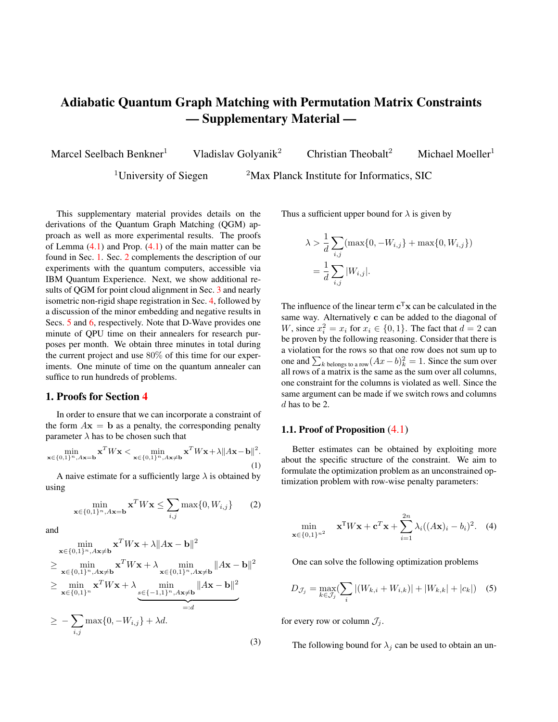$$
\mathbb{P}_{n} = \{X \in \mathbb{R}^{n \times n} | \forall i, j \in \{1, ..., n\} x_{i,j} \in \{0, 1\}
$$
\n
$$
\forall j \in \{1, ..., n\} \sum_{i=1}^{n} x_{i,j} = \sum_{i=1}^{n} x_{j,i} = 1\}
$$
\n
$$
= \left\{ \begin{pmatrix} 1 - \sum_{i=2}^{n} x_{1,i} & 1 - \sum_{i=2}^{n} x_{2,i} & \dots & 1 - \sum_{i=2}^{n} x_{n,i} \\ x_{2,1} & x_{2,2} & \dots & x_{2,n} \\ \vdots & \vdots & \ddots & \vdots \\ x_{n,1} & x_{n,2} & \dots & x_{n,n} \end{pmatrix} \right\}
$$
\n
$$
\in \mathbb{R}^{n \times n} | \forall i \in \{2, ..., n\}, j \in \{1, ..., n\} x_{i,j} \in \{0, 1\}
$$
\n
$$
\forall j \in \{1, ..., n\} \sum_{i=1}^{n} x_{j,i} = 1 \land \sum_{i=2}^{n} x_{i,j} \le 1\}
$$
\n
$$
= \left\{ \begin{pmatrix} 1 - \sum_{i=2}^{n} x_{1,i} & 1 - \sum_{i=2}^{n} x_{2,i} & \dots & 1 - \sum_{i=2}^{n} x_{n,i} \\ 1 - \sum_{i=2}^{n} x_{2,i} & x_{2,2} & \dots & x_{2,n} \\ \vdots & \vdots & \ddots & \vdots \\ 1 - \sum_{i=2}^{n} x_{n,i} & x_{n,2} & \dots & x_{n,n} \end{pmatrix} \right\}
$$
\n
$$
\in \mathbb{R}^{n \times n} | \forall i \in \{2, ..., n\}, j \in \{1, ..., n\} x_{i,j} \in \{0, 1\}
$$
\n
$$
\forall j \in \{1, ..., n\} \sum_{i=1}^{n} x_{j,i} = 1 \land \sum_{i=2}^{n} x_{i,j} \le 1\}
$$
\n
$$
= \left\{ \begin{pmatrix} 1 - (n - 1) + \sum_{i=2}^{n} x_{i,i} & 1 - \sum_{i=2}^{n} x_{2,i} & \dots & 1 - \
$$

$$
= \left\{ \begin{pmatrix} 2-n + \sum_{i,j=2}^{n} x_{i,j} & 1 - \sum_{i=2}^{n} x_{2,i} & \dots & 1 - \sum_{i=2}^{n} x_{n,i} \\ 1 - \sum_{i=2}^{n} x_{2,i} & x_{2,2} & \dots & x_{2,n} \\ \vdots & \vdots & \ddots & \vdots \\ 1 - \sum_{i=2}^{n} x_{n,i} & x_{n,2} & \dots & x_{n,n} \end{pmatrix} \right\}
$$
  

$$
\in \mathbb{R}^{n \times n} | \forall i \in \{2, ..., n\}, j \in \{2, ..., n\} \ x_{i,j} \in \{0, 1\}
$$
  

$$
\sum_{i,j=2}^{n} x_{i,j} \in \{n-2, n-1\} \ \forall j \in \{2, ..., n\} \sum_{i=2}^{n} x_{j,i} \le 1 \land \sum_{i=2}^{n} x_{i,j} \le 1 \right\}
$$
  

$$
= \left\{ \begin{pmatrix} 2-n + \sum_{i,j=2}^{n} x_{i,j} & 1 - \sum_{i=2}^{n} x_{2,i} & \dots & 1 - \sum_{i=2}^{n} x_{n,i} \\ 1 - \sum_{i=2}^{n} x_{2,i} & x_{2,2} & \dots & x_{2,n} \\ \vdots & \vdots & \ddots & \vdots \\ 1 - \sum_{i=2}^{n} x_{n,i} & x_{n,2} & \dots & x_{n,n} \end{pmatrix} \right\}
$$
  

$$
\in \mathbb{R}^{n \times n} | \forall i \in \{2, ..., n\}, j \in \{2, ..., n\} \ x_{i,j} \in \{0, 1\}
$$

$$
\sum_{i,j=2}^{n} x_{i,j} \in \{n-2, n-1\} \,\forall j, i, k \in \{2, ..., n\} \quad i \neq k
$$
  

$$
x_{j,i} x_{j,k} = 0 \land x_{i,j} x_{k,j} = 0 \}
$$

#### 1.2.2 Proof of Proposition (4.2)

We want to find sufficient lower bounds for  $\lambda_1^j$  and  $\lambda_2$  in

$$
\min_{\mathbf{x}\in\{0,1\}^{(n-1)}} \mathbf{x}^{\mathrm{T}}\tilde{W}\mathbf{x} + \tilde{c}^T\mathbf{x} +
$$
\n
$$
\sum_{j=1}^{2(n-1)} \lambda_1^j \left(\sum_{k\in\mathcal{J}_j} x_k\right) \left(\sum_{k\in\mathcal{J}_j} x_k - 1\right)
$$
\n
$$
+ \lambda_2 \left(\sum_{i=1}^{(n-1)^2} x_i - (n-1)\right) \left(\sum_{i=1}^{(n-1)^2} x_i - (n-2)\right),
$$
\n(21)

so that it coincides with the constrained optimization problem. We make the following ansatz for the  $\lambda_2$  parameter:

$$
\lambda_2 = \frac{1}{2} D_{\{1,\dots,(n-1)^2\}} \tag{22}
$$

Since the function

$$
\left(\sum_{i=1}^{(n-1)^2} x_i - (n-1)\right) \left(\sum_{i=1}^{(n-1)^2} x_i - (n-2)\right) \tag{23}
$$

increases faster than  $2 \cdot H$ , when H is the number of entries that need to be switched in order to have  $n - 1$ - or  $n - 2$ many entries equal to 1.

This choice for  $\lambda_2$  allows us to only investigate the case, where we have  $n - 1$  or n ones placed anywhere. Similar to the prior proof we ask, what the worst ratio between ones we have to insert anywhere and ones we have to insert or delete in a particular column is. It can be easily seen that in the worst case scenario all ones are in one column or row. Therefore the ratio is one half. This shows that we can choose:

$$
\lambda_1^j = \frac{1}{2} D_{\mathcal{J}_j} + \frac{1}{2} D_{\{1,\dots,(n-1)^2\}} \tag{24}
$$

 $\Box$ 

# 2. Experiments on IBM Burlington

 $\setminus$  $\Big\}$ Several of our experiments are conducted on the IBM five qubits in Burlington [1], which is accessible per cloud. In contrast to D-Wave quantum annealers, the circuit-model is used for the design of this quantum computer. From a purely theoretical perspective there is some equivalence [3] between adiabatic quantum computing and quantum computing with the circuit model, though due to the technical challenges, significant differences remain in practice. One way to execute a time-dependent Hamiltonian  $H(t)$  $(6)$  on the IBM machine is to approximate it with L constant Hamiltonians. The Hamiltonians, which are constant in time, can be decomposed and expressed with quantum gates via *trotterization* [7].

 $\Box$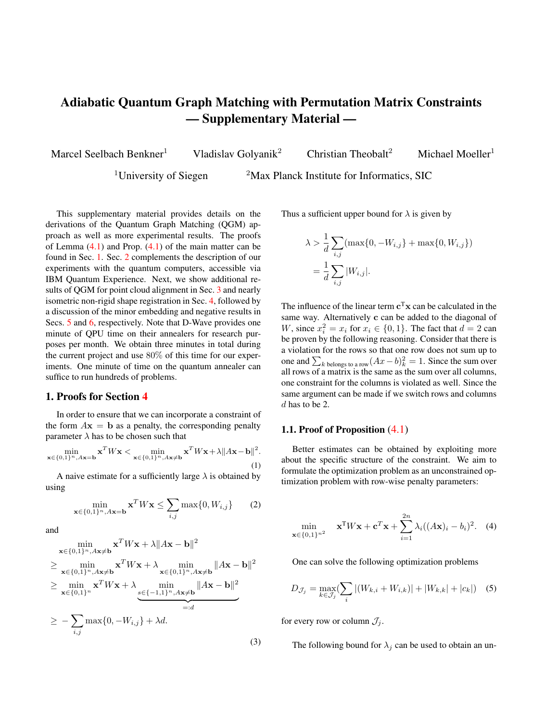More specifically, choosing the value of the parameter  $L$ in the piecewise constant approximation of the Hamiltonian is crucial as we loose the (pseudo-)adiabacity for small  $L$ , but – as each gate has a certain chance of introducing an error and a long execution time of the circuit makes errors due to decoherence more probable  $-$  large  $L$  are also prone to fail.

Because of the above-mentioned reasons, we are able to perform the adiabatic evolution for only two qubits on the 5 qubit processor until now. Fortunately, using the trick from Sec. 4.3, we can optimise over the  $2 \times 2$  permutation matrices. In our experiment, we performed 50 time steps. We choose the evolution time 0.1 and use Suzuki expansion of order 2, similar to Kraus *et al.* [5]. The matrix W and the vector  $c$  were generated randomly for every of the 20 iterations. Every circuit was executed 8192 times, which is the maximal amount. An exemplary result of an execution is summarized in the histogram in Fig. 1. Although we obtain slightly different distributions each time, the highest peak always coincides with the second column of the optimal permutation, which is  $|01\rangle$  here.



Figure 1: QGM execution histogram over 8192 runs using trotterization on a five qubit processor from IBM Quantum Experience. The states  $|00\rangle$  and  $|11\rangle$  are suppressed, because of the proposed regularization terms, *i.e.,* since these states violate that the sum of all elements in a column of a permutation matrix equals to 1.

The recent publication [4] about adiabatic quantum computing on machines from IBM Quantum Experience proposes catalyst Hamiltonian, which could improve the results in future and make it possible to succeed in higher dimensions.

# 3. Point Cloud Matching Example

To illustrate another application of the studied matching problems, we consider the registration of two 3D point clouds by finding correspondences of four pre-selected points in each scene as illustrated in Fig. 2. While this preselection is, of course, a very challenging part of the overall solution, our main goal is to illustrate the solution of a (low dimensional) matching problem via quantum computing – possibly as the solution to a subproblem in an iterative registration algorithm.

To set up the matching problem, we select four arbitrary points in one scene and use the ground truth transformation between the two frames to identify the corresponding points in the other scene. We then set up a matching problem with costs as in (17) by simply using Euclidean distances between the points.

The histogram of energies obtained by all three quantum graph matching formulations over 500 anneals is shown in Fig. 3. The top row illustrates the overall histogram with strong peaks at low energies. As these peaks correspond to permutation matrices, we can conclude that all penalty terms were successful in strongly promoting permutations, with the inserted formulation yielding the best results. Zooming into the leftmost peak (illustrated in the bottom row of Fig. 3), however, reveals that none of the three formulations was successful in consistently predicting the global optimum among the permutation matrices. Considering the probabilities of less than  $1\%$  for the row-wise and baseline, and about 5.5% for the inserted formulations to predict the ground truth solution, one must conclude that all algorithms do not provide significantly better solutions than random guessing (which has a success probability of 4.17\% for  $n = 4$ ).

In summary, this experiment underlines the great difficulty current quantum hardware still has with problem instances of  $n = 4$ , *i.e.*, looking for the values of the best 16 qubits that are constrained to representing a permutation matrix. The performance of our three QUBO formulations on this problem can be seen in Fig. 3.

## 4. Near-Isometric Matching

Fig. 4 shows an example of a matching problem between two shapes that are only approximately related by an isometry, *i.e.,* matching a wolf to a cat in this particular instance. Still modelling the problem as an isometric deformation using costs determined by (17) yields an instance, where the true matching still is the global optimum of the quadratic assignment problem, but where wrong permutations have considerably more similar energies than in the point cloud and isometric shape matching examples.

The success probabilities for the *inserted*, the *baseline* and the *row-wise* QGM variants are 3.8%, 4% and 9.2%, respectively. As we can see in Fig. 5, the energy landscape has a wide range and the energy values corresponding to permutations are closer to each other compared to the case when the isometry assumption is strictly fulfilled. If one looks at the histograms with only permutations, only the *row-wise* QGM shows some trend towards the permutation with the lowest energy. Although its success probability is more than twice as good as random guessing, such a factor to random guessing would still not be sufficient to scale such an algorithm to large  $n$ .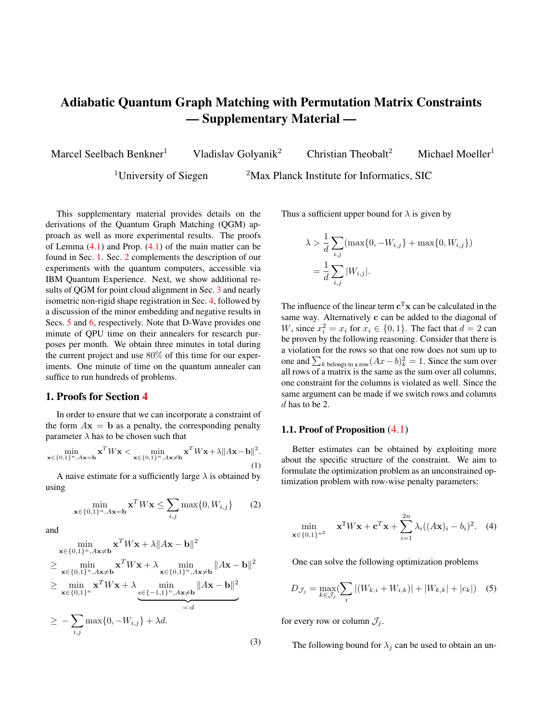

Figure 2: Illustrating the correct matching between four selected keypoints in two frames of the 7-Scenes 'Redkitchen' dataset, as provided at <https://3dmatch.cs.princeton.edu/>

# 5. Embedding to the Chimera Graph

The embeddings to the Chimera graph for different dimensions with the row-wise formulation can be seen in Fig. 6. While the number of logical qubits grows quadratically with  $n$ , the number of physical qubits required to embed those to the Chimera graph grows as  $n^4$ . For  $n = 2$ , the length of the longest chain is two physical qubits. For  $n = 3$  and  $n = 4$ , the chain length does not exceed four and six, respectively.

#### 6. Discussion of Negative Results

Since physical quantum computing is an emerging technology, reporting and discussing negative results on the early stage is of high relevance for the community. Insights of this section can help in choosing a promising direction for improvements and future research.

As discussed in section 5.2 we claim that the failure to provide the ground state with more probability than random guessing is due to the experimental errors in the coupling parameters. To back this up we provide the smallest and largest values of couplings and biases of the regularization and data term in table 1.

The couplings and the biases are scaled, so that they fit the feasible region of the annealer.  $Q_{\text{reg}}$ ,  $q_{\text{reg}}$  do yield constant energies for all permutations and therefore  $Q_{\text{prob}}$ ,  $q_{\text{prob}}$ contains the information, which permutation is optimal. The sum are the real, physical couplings

$$
Q = Q_{\text{reg}} + Q_{\text{prob}}
$$

Table 1: Illustrating the range of values arising from the penalty to constrain each formulation to permutation matrices ( $Q_{reg}$  \* and  $q_{reg}$  \*) and from the actual problem costs  $(Q_{prob} * and q_{prob} *).$  As we can see the constraints contribute more to the quadratic coupling matrix by a factor of around 6 for the inserted, 13 for the row-wise, and almost 55 for the baseline.

|                      | Row-wise | Inserted | <b>Baseline</b> |
|----------------------|----------|----------|-----------------|
| $Q_{\rm max}$        | $-0.887$ | $-0.987$ | $-0.973$        |
| $Q_{\rm min}$        | $-1.037$ | $-1.295$ | $-1.009$        |
| $q_{\text{max}}$     | $-1.937$ | $-8.884$ | $-116.772$      |
| $q_{\min}$           | $-2.277$ | $-9.753$ | $-120.772$      |
| $Q_{\text{reg max}}$ | 0.962    | 1.121    | 0.983           |
| $Q_{\text{reg min}}$ | $-0.962$ | $-0.705$ | $-0.991$        |
| $q_{\text{reg max}}$ | 4.017    | 10.885   | 118.772         |
| $q_{\text{reg min}}$ | 0.140    | 7.753    | 118.772         |

and biases

$$
q = q_{\text{reg}} + q_{\text{prob}}.
$$

One can see that most of the accessible range of the coupling parameters has to make sure that the output is a permutation.

There exists already ways to deal with these problems, which we want to try out in further experiments. One possibility would be to use extended J-range parameter [2]. The easiest way for this would be to use the virtual graph embedding instead of the default one (EmbeddingComposite). First attempts in this direction show that using the virtual graph embedding requires a lot of computation time. For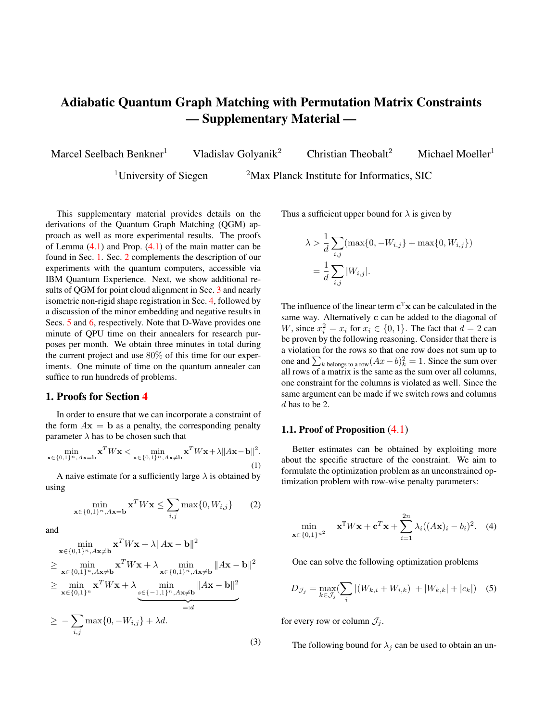

− 2400 − 2200 − 2000 − 500 − 450 − 400 − 650 − 600 − 550 − 500 − 450 Energy of the states obtained from the quantum annealer



Figure 3: The histograms show the states obtained for the point matching problem in Fig. 2. The top row shows the overall histogram obtained over 500 anneals while the bottom row is a (rescaled) zoom into the leftmost peaks of the upper row, which corresponds to actual permutation matrices.



Figure 4: Illustrating a matching problem in which the shapes to be matched are only approximately related by an isometry.

one instance, where we got an error warning we had to invest 12% of our access time.

As reported in the main paper we first used a long annealing path with a break and at some point switched to using  $20\mu s$ . Although a longer annealing time can often be used to enhance the success probability, if we additionally look a the time it takes to perform the experiment until we



− 350 − 325 − 300 − 275 Energy of the states obtained from the quantum annealer



Figure 5: The histograms show the states obtained for the point matching problem in Fig. 4. The top row shows the overall histogram obtained over 500 anneals while the bottom row is a (rescaled) zoom into the leftmost peaks of the upper row, which corresponds to actual permutation matrices.

one gets the optimum with for example 99% certainty then according to  $[6]$  20 $\mu$ s seems to be the better choice, if less than 512 qubits are used.

# 7. Beyond Quantum Computing

In addition to the numerical experiments using quantum computing, we also briefly tested the effect of our three reformulations on methods that are inspired by physical systems. In Fig. 7, we compare the success probability of our three formulations for simulated annealing using random instances of graph matching problems. As we can see, the row-wise and - even more so - the inserted formulations yield results clearly superior to the baseline method, indicating that our analysis might be of use beyond quantum computing. Due to the  $\mathcal{NP}$ -hard nature of the underlying problem, it is to be expected that the overall success probability still decreases exponentially with increasing  $n$  (for a fixed number of simulated annealing runs).